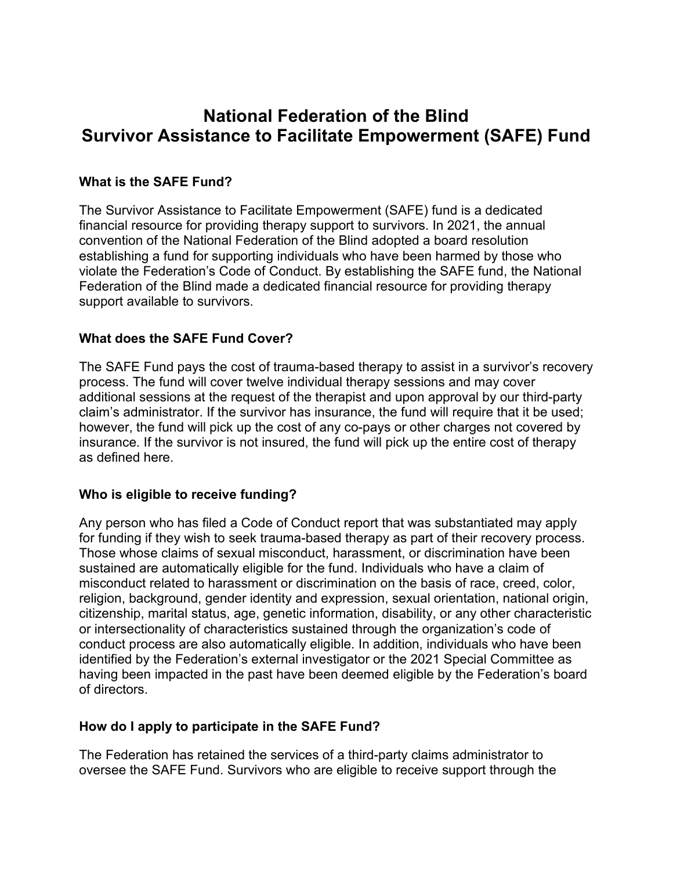# **National Federation of the Blind Survivor Assistance to Facilitate Empowerment (SAFE) Fund**

## **What is the SAFE Fund?**

The Survivor Assistance to Facilitate Empowerment (SAFE) fund is a dedicated financial resource for providing therapy support to survivors. In 2021, the annual convention of the National Federation of the Blind adopted a board resolution establishing a fund for supporting individuals who have been harmed by those who violate the Federation's Code of Conduct. By establishing the SAFE fund, the National Federation of the Blind made a dedicated financial resource for providing therapy support available to survivors.

#### **What does the SAFE Fund Cover?**

The SAFE Fund pays the cost of trauma-based therapy to assist in a survivor's recovery process. The fund will cover twelve individual therapy sessions and may cover additional sessions at the request of the therapist and upon approval by our third-party claim's administrator. If the survivor has insurance, the fund will require that it be used; however, the fund will pick up the cost of any co-pays or other charges not covered by insurance. If the survivor is not insured, the fund will pick up the entire cost of therapy as defined here.

#### **Who is eligible to receive funding?**

Any person who has filed a Code of Conduct report that was substantiated may apply for funding if they wish to seek trauma-based therapy as part of their recovery process. Those whose claims of sexual misconduct, harassment, or discrimination have been sustained are automatically eligible for the fund. Individuals who have a claim of misconduct related to harassment or discrimination on the basis of race, creed, color, religion, background, gender identity and expression, sexual orientation, national origin, citizenship, marital status, age, genetic information, disability, or any other characteristic or intersectionality of characteristics sustained through the organization's code of conduct process are also automatically eligible. In addition, individuals who have been identified by the Federation's external investigator or the 2021 Special Committee as having been impacted in the past have been deemed eligible by the Federation's board of directors.

#### **How do I apply to participate in the SAFE Fund?**

The Federation has retained the services of a third-party claims administrator to oversee the SAFE Fund. Survivors who are eligible to receive support through the